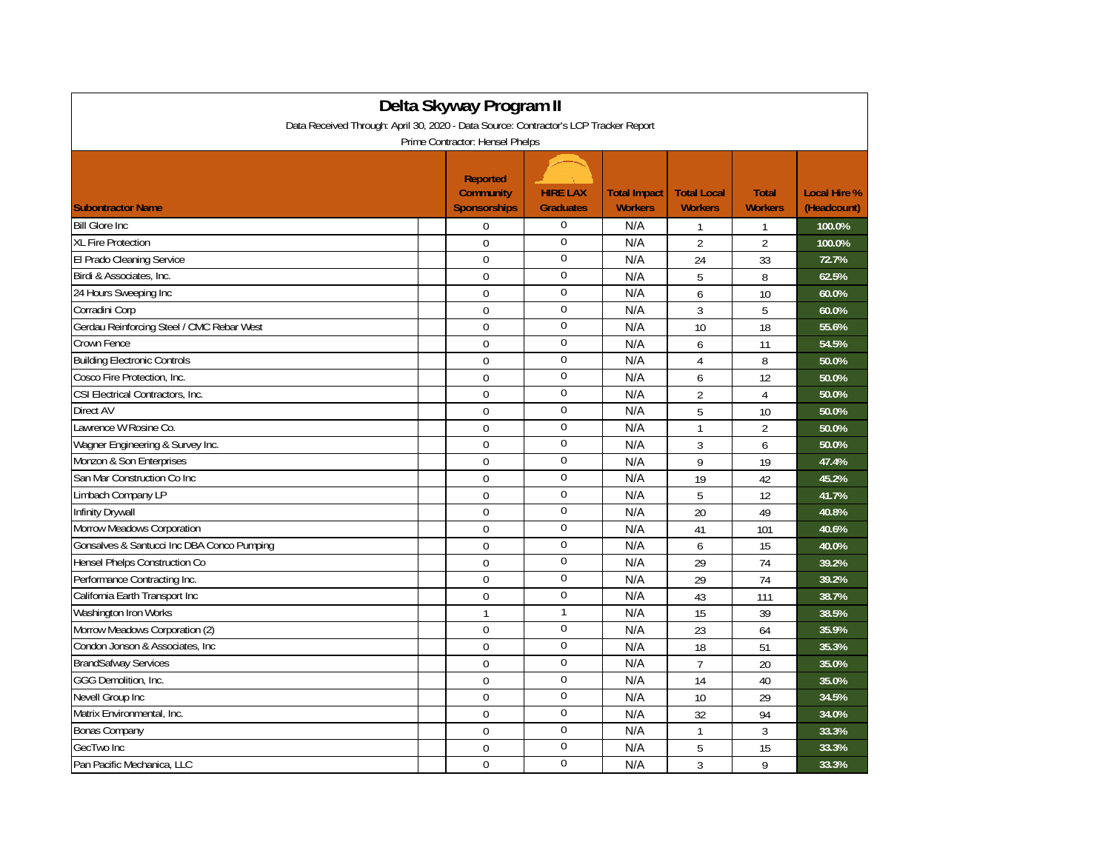| Delta Skyway Program II<br>Data Received Through: April 30, 2020 - Data Source: Contractor's LCP Tracker Report |                                                                                               |                                     |                                       |                                      |                                |                                    |  |
|-----------------------------------------------------------------------------------------------------------------|-----------------------------------------------------------------------------------------------|-------------------------------------|---------------------------------------|--------------------------------------|--------------------------------|------------------------------------|--|
| <b>Subontractor Name</b>                                                                                        | Prime Contractor: Hensel Phelps<br><b>Reported</b><br><b>Community</b><br><b>Sponsorships</b> | <b>HIRE LAX</b><br><b>Graduates</b> | <b>Total Impact</b><br><b>Workers</b> | <b>Total Local</b><br><b>Workers</b> | <b>Total</b><br><b>Workers</b> | <b>Local Hire %</b><br>(Headcount) |  |
| <b>Bill Glore Inc.</b>                                                                                          | $\mathbf 0$                                                                                   | $\mathbf 0$                         | N/A                                   | 1                                    | 1                              | 100.0%                             |  |
| <b>XL Fire Protection</b>                                                                                       | $\Omega$                                                                                      | $\boldsymbol{0}$                    | N/A                                   | $\overline{2}$                       | $\overline{2}$                 | 100.0%                             |  |
| El Prado Cleaning Service                                                                                       | $\mathbf 0$                                                                                   | $\mathbf 0$                         | N/A                                   | 24                                   | 33                             | 72.7%                              |  |
| Birdi & Associates, Inc.                                                                                        | $\mathbf 0$                                                                                   | $\boldsymbol{0}$                    | N/A                                   | 5                                    | 8                              | 62.5%                              |  |
| 24 Hours Sweeping Inc                                                                                           | $\Omega$                                                                                      | $\mathbf 0$                         | N/A                                   | 6                                    | 10                             | 60.0%                              |  |
| Corradini Corp                                                                                                  | $\mathbf 0$                                                                                   | $\mathbf 0$                         | N/A                                   | 3                                    | 5                              | 60.0%                              |  |
| Gerdau Reinforcing Steel / CMC Rebar West                                                                       | $\Omega$                                                                                      | $\overline{0}$                      | N/A                                   | 10                                   | 18                             | 55.6%                              |  |
| Crown Fence                                                                                                     | $\Omega$                                                                                      | $\mathbf 0$                         | N/A                                   | 6                                    | 11                             | 54.5%                              |  |
| <b>Building Electronic Controls</b>                                                                             | $\mathbf 0$                                                                                   | $\boldsymbol{0}$                    | N/A                                   | 4                                    | 8                              | 50.0%                              |  |
| Cosco Fire Protection, Inc.                                                                                     | $\Omega$                                                                                      | $\mathbf{0}$                        | N/A                                   | 6                                    | 12                             | 50.0%                              |  |
| CSI Electrical Contractors, Inc.                                                                                | $\mathbf 0$                                                                                   | $\boldsymbol{0}$                    | N/A                                   | $\overline{2}$                       | $\overline{4}$                 | 50.0%                              |  |
| <b>Direct AV</b>                                                                                                | $\Omega$                                                                                      | $\mathbf 0$                         | N/A                                   | 5                                    | 10                             | 50.0%                              |  |
| Lawrence W Rosine Co.                                                                                           | $\mathbf 0$                                                                                   | $\boldsymbol{0}$                    | N/A                                   | $\mathbf{1}$                         | $\overline{2}$                 | 50.0%                              |  |
| Wagner Engineering & Survey Inc.                                                                                | $\mathbf 0$                                                                                   | $\overline{0}$                      | N/A                                   | 3                                    | 6                              | 50.0%                              |  |
| Monzon & Son Enterprises                                                                                        | $\mathbf 0$                                                                                   | $\mathbf 0$                         | N/A                                   | 9                                    | 19                             | 47.4%                              |  |
| San Mar Construction Co Inc                                                                                     | $\mathbf 0$                                                                                   | $\mathbf 0$                         | N/A                                   | 19                                   | 42                             | 45.2%                              |  |
| Limbach Company LP                                                                                              | $\Omega$                                                                                      | $\mathbf 0$                         | N/A                                   | 5                                    | 12                             | 41.7%                              |  |
| Infinity Drywall                                                                                                | $\mathbf 0$                                                                                   | $\mathbf{0}$                        | N/A                                   | 20                                   | 49                             | 40.8%                              |  |
| Morrow Meadows Corporation                                                                                      | $\Omega$                                                                                      | $\mathbf{0}$                        | N/A                                   | 41                                   | 101                            | 40.6%                              |  |
| Gonsalves & Santucci Inc DBA Conco Pumping                                                                      | $\mathbf 0$                                                                                   | $\boldsymbol{0}$                    | N/A                                   | 6                                    | 15                             | 40.0%                              |  |
| Hensel Phelps Construction Co                                                                                   | $\Omega$                                                                                      | $\mathbf{0}$                        | N/A                                   | 29                                   | 74                             | 39.2%                              |  |
| Performance Contracting Inc.                                                                                    | $\mathbf 0$                                                                                   | $\mathbf 0$                         | N/A                                   | 29                                   | 74                             | 39.2%                              |  |
| California Earth Transport Inc                                                                                  | $\mathbf 0$                                                                                   | $\mathbf{0}$                        | N/A                                   | 43                                   | 111                            | 38.7%                              |  |
| Washington Iron Works                                                                                           | $\mathbf{1}$                                                                                  | $\mathbf{1}$                        | N/A                                   | 15                                   | 39                             | 38.5%                              |  |
| Morrow Meadows Corporation (2)                                                                                  | $\Omega$                                                                                      | $\overline{0}$                      | N/A                                   | 23                                   | 64                             | 35.9%                              |  |
| Condon Jonson & Associates, Inc                                                                                 | $\Omega$                                                                                      | $\mathbf{0}$                        | N/A                                   | 18                                   | 51                             | 35.3%                              |  |
| <b>BrandSafway Services</b>                                                                                     | $\mathbf 0$                                                                                   | $\boldsymbol{0}$                    | N/A                                   | $\overline{7}$                       | 20                             | 35.0%                              |  |
| GGG Demolition, Inc.                                                                                            | $\mathbf 0$                                                                                   | $\bf{0}$                            | N/A                                   | 14                                   | 40                             | 35.0%                              |  |
| Nevell Group Inc                                                                                                | $\mathbf 0$                                                                                   | $\boldsymbol{0}$                    | N/A                                   | 10                                   | 29                             | 34.5%                              |  |
| Matrix Environmental, Inc.                                                                                      | $\Omega$                                                                                      | $\mathbf 0$                         | N/A                                   | 32                                   | 94                             | 34.0%                              |  |
| Bonas Company                                                                                                   | $\mathbf 0$                                                                                   | $\mathbf{0}$                        | N/A                                   | $\mathbf{1}$                         | 3                              | 33.3%                              |  |
| GecTwo Inc                                                                                                      | $\mathbf 0$                                                                                   | $\boldsymbol{0}$                    | N/A                                   | 5                                    | 15                             | 33.3%                              |  |
| Pan Pacific Mechanica, LLC                                                                                      | $\Omega$                                                                                      | $\mathbf 0$                         | N/A                                   | 3                                    | 9                              | 33.3%                              |  |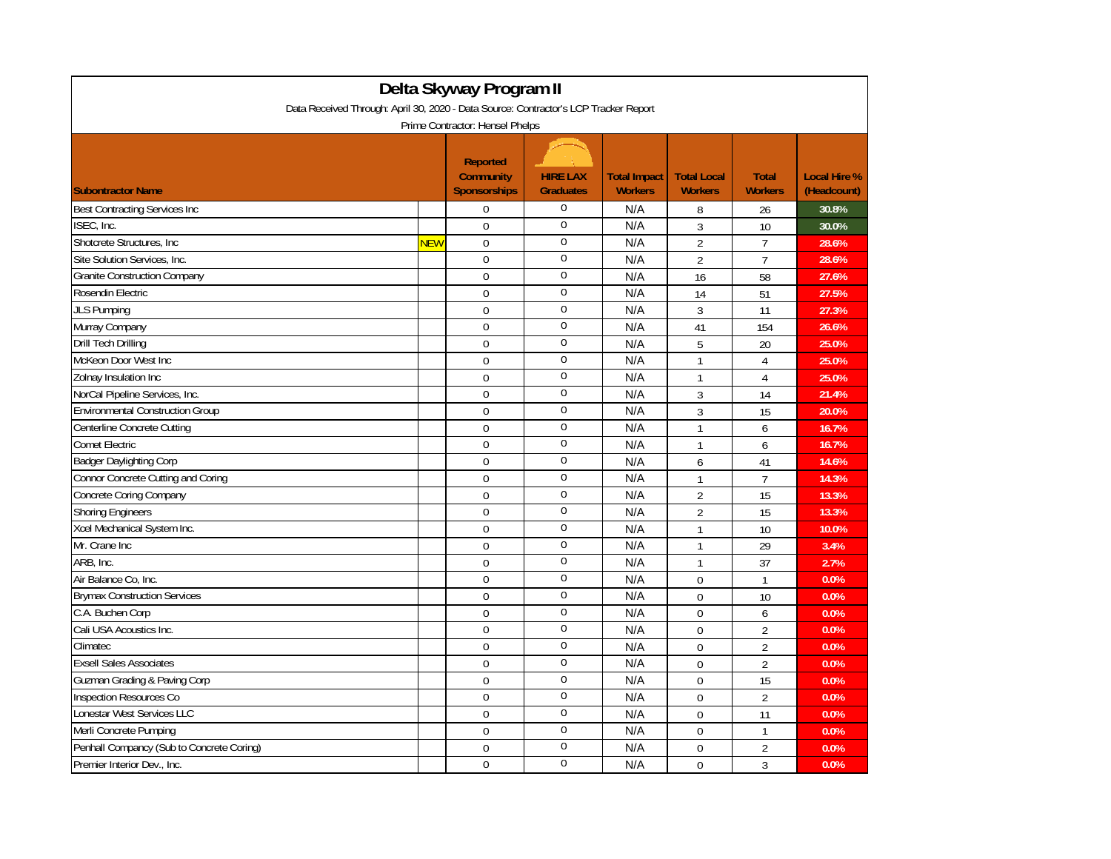| Delta Skyway Program II                                                                                                 |     |                                              |                                     |                                       |                                      |                                |                                    |  |  |
|-------------------------------------------------------------------------------------------------------------------------|-----|----------------------------------------------|-------------------------------------|---------------------------------------|--------------------------------------|--------------------------------|------------------------------------|--|--|
| Data Received Through: April 30, 2020 - Data Source: Contractor's LCP Tracker Report<br>Prime Contractor: Hensel Phelps |     |                                              |                                     |                                       |                                      |                                |                                    |  |  |
| <b>Subontractor Name</b>                                                                                                |     | Reported<br>Community<br><b>Sponsorships</b> | <b>HIRE LAX</b><br><b>Graduates</b> | <b>Total Impact</b><br><b>Workers</b> | <b>Total Local</b><br><b>Workers</b> | <b>Total</b><br><b>Workers</b> | <b>Local Hire %</b><br>(Headcount) |  |  |
| Best Contracting Services Inc                                                                                           |     | $\mathbf 0$                                  | $\mathbf 0$                         | N/A                                   | 8                                    | 26                             | 30.8%                              |  |  |
| ISEC, Inc.                                                                                                              |     | $\mathbf 0$                                  | $\Omega$                            | N/A                                   | 3                                    | 10                             | 30.0%                              |  |  |
| Shotcrete Structures, Inc.                                                                                              | NEW | $\mathbf 0$                                  | $\mathbf{0}$                        | N/A                                   | $\overline{2}$                       | $\overline{7}$                 | 28.6%                              |  |  |
| Site Solution Services, Inc.                                                                                            |     | $\mathbf 0$                                  | $\boldsymbol{0}$                    | N/A                                   | $\overline{2}$                       | $\overline{7}$                 | 28.6%                              |  |  |
| <b>Granite Construction Company</b>                                                                                     |     | $\mathbf 0$                                  | $\boldsymbol{0}$                    | N/A                                   | 16                                   | 58                             | 27.6%                              |  |  |
| Rosendin Electric                                                                                                       |     | $\mathbf 0$                                  | $\mathbf 0$                         | N/A                                   | 14                                   | 51                             | 27.5%                              |  |  |
| <b>JLS Pumping</b>                                                                                                      |     | $\mathbf 0$                                  | $\mathbf 0$                         | N/A                                   | 3                                    | 11                             | 27.3%                              |  |  |
| Murray Company                                                                                                          |     | $\mathbf{0}$                                 | $\mathbf{0}$                        | N/A                                   | 41                                   | 154                            | 26.6%                              |  |  |
| Drill Tech Drilling                                                                                                     |     | $\mathbf 0$                                  | $\boldsymbol{0}$                    | N/A                                   | 5                                    | 20                             | 25.0%                              |  |  |
| McKeon Door West Inc                                                                                                    |     | $\mathbf 0$                                  | $\mathbf 0$                         | N/A                                   | $\mathbf{1}$                         | $\overline{4}$                 | 25.0%                              |  |  |
| Zolnay Insulation Inc                                                                                                   |     | $\Omega$                                     | $\mathbf 0$                         | N/A                                   | $\mathbf{1}$                         | $\overline{4}$                 | 25.0%                              |  |  |
| NorCal Pipeline Services, Inc.                                                                                          |     | $\mathbf 0$                                  | $\mathbf 0$                         | N/A                                   | 3                                    | 14                             | 21.4%                              |  |  |
| <b>Environmental Construction Group</b>                                                                                 |     | $\mathbf 0$                                  | $\mathbf{0}$                        | N/A                                   | 3                                    | 15                             | 20.0%                              |  |  |
| Centerline Concrete Cutting                                                                                             |     | $\mathbf 0$                                  | $\boldsymbol{0}$                    | N/A                                   | $\mathbf{1}$                         | 6                              | 16.7%                              |  |  |
| <b>Comet Electric</b>                                                                                                   |     | $\mathbf 0$                                  | $\boldsymbol{0}$                    | N/A                                   | $\mathbf{1}$                         | 6                              | 16.7%                              |  |  |
| <b>Badger Daylighting Corp</b>                                                                                          |     | $\boldsymbol{0}$                             | $\mathbf 0$                         | N/A                                   | 6                                    | 41                             | 14.6%                              |  |  |
| Connor Concrete Cutting and Coring                                                                                      |     | $\mathbf 0$                                  | $\mathbf 0$                         | N/A                                   | $\mathbf{1}$                         | $\overline{7}$                 | 14.3%                              |  |  |
| Concrete Coring Company                                                                                                 |     | $\mathbf 0$                                  | $\mathbf 0$                         | N/A                                   | $\overline{2}$                       | 15                             | 13.3%                              |  |  |
| <b>Shoring Engineers</b>                                                                                                |     | $\mathbf 0$                                  | $\boldsymbol{0}$                    | N/A                                   | $\overline{2}$                       | 15                             | 13.3%                              |  |  |
| Xcel Mechanical System Inc.                                                                                             |     | $\mathbf 0$                                  | $\mathbf 0$                         | N/A                                   | $\mathbf{1}$                         | 10                             | 10.0%                              |  |  |
| Mr. Crane Inc.                                                                                                          |     | $\mathbf 0$                                  | $\boldsymbol{0}$                    | N/A                                   | $\mathbf{1}$                         | 29                             | 3.4%                               |  |  |
| ARB, Inc.                                                                                                               |     | $\mathbf 0$                                  | $\mathbf 0$                         | N/A                                   | $\mathbf{1}$                         | 37                             | 2.7%                               |  |  |
| Air Balance Co, Inc.                                                                                                    |     | $\mathbf 0$                                  | $\Omega$                            | N/A                                   | $\mathbf 0$                          | $\mathbf{1}$                   | 0.0%                               |  |  |
| <b>Brymax Construction Services</b>                                                                                     |     | $\mathbf 0$                                  | $\boldsymbol{0}$                    | N/A                                   | $\mathbf{0}$                         | 10                             | 0.0%                               |  |  |
| C.A. Buchen Corp                                                                                                        |     | $\mathbf 0$                                  | $\boldsymbol{0}$                    | N/A                                   | $\Omega$                             | 6                              | 0.0%                               |  |  |
| Cali USA Acoustics Inc.                                                                                                 |     | $\mathbf 0$                                  | $\boldsymbol{0}$                    | N/A                                   | $\boldsymbol{0}$                     | $\overline{2}$                 | 0.0%                               |  |  |
| Climatec                                                                                                                |     | $\mathbf 0$                                  | $\mathbf 0$                         | N/A                                   | $\mathbf 0$                          | $\overline{2}$                 | 0.0%                               |  |  |
| <b>Exsell Sales Associates</b>                                                                                          |     | $\mathbf{0}$                                 | $\mathbf 0$                         | N/A                                   | $\mathbf 0$                          | $\overline{2}$                 | 0.0%                               |  |  |
| Guzman Grading & Paving Corp                                                                                            |     | $\mathbf 0$                                  | $\mathbf 0$                         | N/A                                   | $\mathbf 0$                          | 15                             | 0.0%                               |  |  |
| Inspection Resources Co                                                                                                 |     | $\mathbf 0$                                  | $\boldsymbol{0}$                    | N/A                                   | $\Omega$                             | $\overline{2}$                 | 0.0%                               |  |  |
| Lonestar West Services LLC                                                                                              |     | $\mathbf 0$                                  | $\boldsymbol{0}$                    | N/A                                   | $\boldsymbol{0}$                     | 11                             | 0.0%                               |  |  |
| Merli Concrete Pumping                                                                                                  |     | $\mathbf 0$                                  | $\mathbf{0}$                        | N/A                                   | $\mathbf 0$                          | $\mathbf{1}$                   | 0.0%                               |  |  |
| Penhall Compancy (Sub to Concrete Coring)                                                                               |     | $\mathbf 0$                                  | $\mathbf 0$                         | N/A                                   | $\mathbf 0$                          | $\overline{2}$                 | 0.0%                               |  |  |
| Premier Interior Dev., Inc.                                                                                             |     | $\mathbf 0$                                  | $\mathbf{0}$                        | N/A                                   | $\mathbf 0$                          | 3                              | 0.0%                               |  |  |